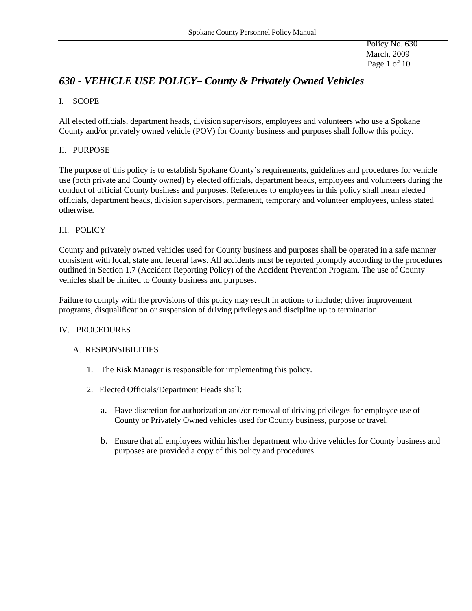Policy No. 630 March, 2009 Page 1 of 10

# *630 - VEHICLE USE POLICY– County & Privately Owned Vehicles*

# I. SCOPE

All elected officials, department heads, division supervisors, employees and volunteers who use a Spokane County and/or privately owned vehicle (POV) for County business and purposes shall follow this policy.

## II. PURPOSE

The purpose of this policy is to establish Spokane County's requirements, guidelines and procedures for vehicle use (both private and County owned) by elected officials, department heads, employees and volunteers during the conduct of official County business and purposes. References to employees in this policy shall mean elected officials, department heads, division supervisors, permanent, temporary and volunteer employees, unless stated otherwise.

# III. POLICY

County and privately owned vehicles used for County business and purposes shall be operated in a safe manner consistent with local, state and federal laws. All accidents must be reported promptly according to the procedures outlined in Section 1.7 (Accident Reporting Policy) of the Accident Prevention Program. The use of County vehicles shall be limited to County business and purposes.

Failure to comply with the provisions of this policy may result in actions to include; driver improvement programs, disqualification or suspension of driving privileges and discipline up to termination.

## IV. PROCEDURES

## A. RESPONSIBILITIES

- 1. The Risk Manager is responsible for implementing this policy.
- 2. Elected Officials/Department Heads shall:
	- a. Have discretion for authorization and/or removal of driving privileges for employee use of County or Privately Owned vehicles used for County business, purpose or travel.
	- b. Ensure that all employees within his/her department who drive vehicles for County business and purposes are provided a copy of this policy and procedures.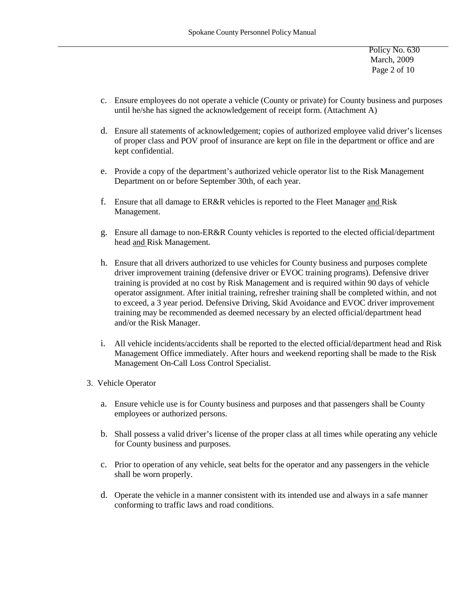Policy No. 630 March, 2009 Page 2 of 10

- c. Ensure employees do not operate a vehicle (County or private) for County business and purposes until he/she has signed the acknowledgement of receipt form. (Attachment A)
- d. Ensure all statements of acknowledgement; copies of authorized employee valid driver's licenses of proper class and POV proof of insurance are kept on file in the department or office and are kept confidential.
- e. Provide a copy of the department's authorized vehicle operator list to the Risk Management Department on or before September 30th, of each year.
- f. Ensure that all damage to ER&R vehicles is reported to the Fleet Manager and Risk Management.
- g. Ensure all damage to non-ER&R County vehicles is reported to the elected official/department head and Risk Management.
- h. Ensure that all drivers authorized to use vehicles for County business and purposes complete driver improvement training (defensive driver or EVOC training programs). Defensive driver training is provided at no cost by Risk Management and is required within 90 days of vehicle operator assignment. After initial training, refresher training shall be completed within, and not to exceed, a 3 year period. Defensive Driving, Skid Avoidance and EVOC driver improvement training may be recommended as deemed necessary by an elected official/department head and/or the Risk Manager.
- i. All vehicle incidents/accidents shall be reported to the elected official/department head and Risk Management Office immediately. After hours and weekend reporting shall be made to the Risk Management On-Call Loss Control Specialist.
- 3. Vehicle Operator
	- a. Ensure vehicle use is for County business and purposes and that passengers shall be County employees or authorized persons.
	- b. Shall possess a valid driver's license of the proper class at all times while operating any vehicle for County business and purposes.
	- c. Prior to operation of any vehicle, seat belts for the operator and any passengers in the vehicle shall be worn properly.
	- d. Operate the vehicle in a manner consistent with its intended use and always in a safe manner conforming to traffic laws and road conditions.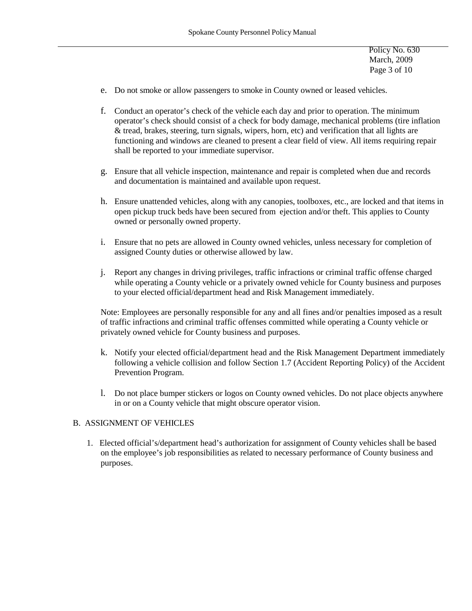Policy No. 630 March, 2009 Page 3 of 10

- e. Do not smoke or allow passengers to smoke in County owned or leased vehicles.
- f. Conduct an operator's check of the vehicle each day and prior to operation. The minimum operator's check should consist of a check for body damage, mechanical problems (tire inflation & tread, brakes, steering, turn signals, wipers, horn, etc) and verification that all lights are functioning and windows are cleaned to present a clear field of view. All items requiring repair shall be reported to your immediate supervisor.
- g. Ensure that all vehicle inspection, maintenance and repair is completed when due and records and documentation is maintained and available upon request.
- h. Ensure unattended vehicles, along with any canopies, toolboxes, etc., are locked and that items in open pickup truck beds have been secured from ejection and/or theft. This applies to County owned or personally owned property.
- i. Ensure that no pets are allowed in County owned vehicles, unless necessary for completion of assigned County duties or otherwise allowed by law.
- j. Report any changes in driving privileges, traffic infractions or criminal traffic offense charged while operating a County vehicle or a privately owned vehicle for County business and purposes to your elected official/department head and Risk Management immediately.

Note: Employees are personally responsible for any and all fines and/or penalties imposed as a result of traffic infractions and criminal traffic offenses committed while operating a County vehicle or privately owned vehicle for County business and purposes.

- k. Notify your elected official/department head and the Risk Management Department immediately following a vehicle collision and follow Section 1.7 (Accident Reporting Policy) of the Accident Prevention Program.
- l. Do not place bumper stickers or logos on County owned vehicles. Do not place objects anywhere in or on a County vehicle that might obscure operator vision.

### B. ASSIGNMENT OF VEHICLES

1. Elected official's/department head's authorization for assignment of County vehicles shall be based on the employee's job responsibilities as related to necessary performance of County business and purposes.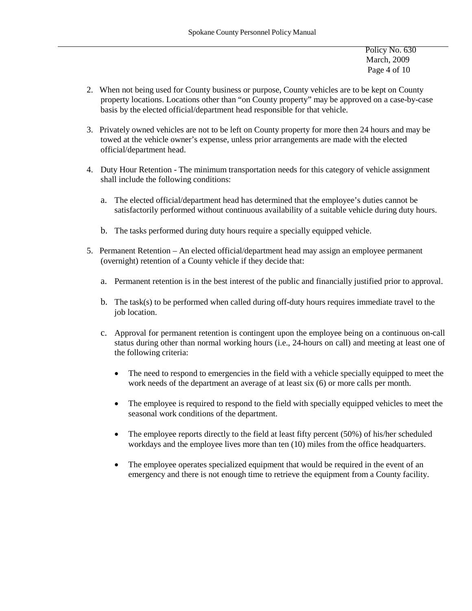Policy No. 630 March, 2009 Page 4 of 10

- 2. When not being used for County business or purpose, County vehicles are to be kept on County property locations. Locations other than "on County property" may be approved on a case-by-case basis by the elected official/department head responsible for that vehicle.
- 3. Privately owned vehicles are not to be left on County property for more then 24 hours and may be towed at the vehicle owner's expense, unless prior arrangements are made with the elected official/department head.
- 4. Duty Hour Retention The minimum transportation needs for this category of vehicle assignment shall include the following conditions:
	- a. The elected official/department head has determined that the employee's duties cannot be satisfactorily performed without continuous availability of a suitable vehicle during duty hours.
	- b. The tasks performed during duty hours require a specially equipped vehicle.
- 5. Permanent Retention An elected official/department head may assign an employee permanent (overnight) retention of a County vehicle if they decide that:
	- a. Permanent retention is in the best interest of the public and financially justified prior to approval.
	- b. The task(s) to be performed when called during off-duty hours requires immediate travel to the job location.
	- c. Approval for permanent retention is contingent upon the employee being on a continuous on-call status during other than normal working hours (i.e., 24-hours on call) and meeting at least one of the following criteria:
		- The need to respond to emergencies in the field with a vehicle specially equipped to meet the work needs of the department an average of at least six (6) or more calls per month.
		- The employee is required to respond to the field with specially equipped vehicles to meet the seasonal work conditions of the department.
		- The employee reports directly to the field at least fifty percent (50%) of his/her scheduled workdays and the employee lives more than ten (10) miles from the office headquarters.
		- The employee operates specialized equipment that would be required in the event of an emergency and there is not enough time to retrieve the equipment from a County facility.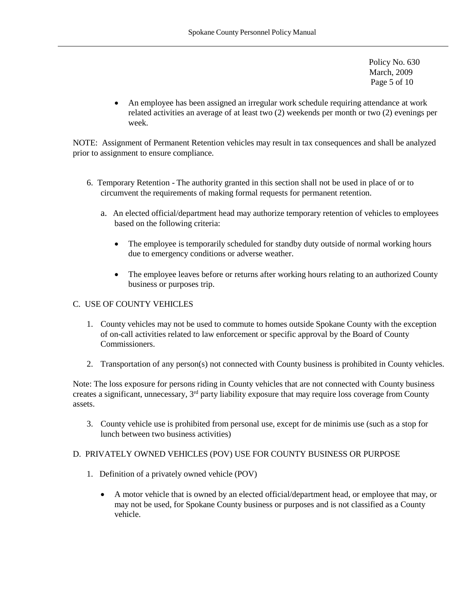Policy No. 630 March, 2009 Page 5 of 10

• An employee has been assigned an irregular work schedule requiring attendance at work related activities an average of at least two (2) weekends per month or two (2) evenings per week.

NOTE: Assignment of Permanent Retention vehicles may result in tax consequences and shall be analyzed prior to assignment to ensure compliance.

- 6. Temporary Retention The authority granted in this section shall not be used in place of or to circumvent the requirements of making formal requests for permanent retention.
	- a. An elected official/department head may authorize temporary retention of vehicles to employees based on the following criteria:
		- The employee is temporarily scheduled for standby duty outside of normal working hours due to emergency conditions or adverse weather.
		- The employee leaves before or returns after working hours relating to an authorized County business or purposes trip.

## C. USE OF COUNTY VEHICLES

- 1. County vehicles may not be used to commute to homes outside Spokane County with the exception of on-call activities related to law enforcement or specific approval by the Board of County Commissioners.
- 2. Transportation of any person(s) not connected with County business is prohibited in County vehicles.

Note: The loss exposure for persons riding in County vehicles that are not connected with County business creates a significant, unnecessary, 3<sup>rd</sup> party liability exposure that may require loss coverage from County assets.

3. County vehicle use is prohibited from personal use, except for de minimis use (such as a stop for lunch between two business activities)

## D. PRIVATELY OWNED VEHICLES (POV) USE FOR COUNTY BUSINESS OR PURPOSE

- 1. Definition of a privately owned vehicle (POV)
	- A motor vehicle that is owned by an elected official/department head, or employee that may, or may not be used, for Spokane County business or purposes and is not classified as a County vehicle.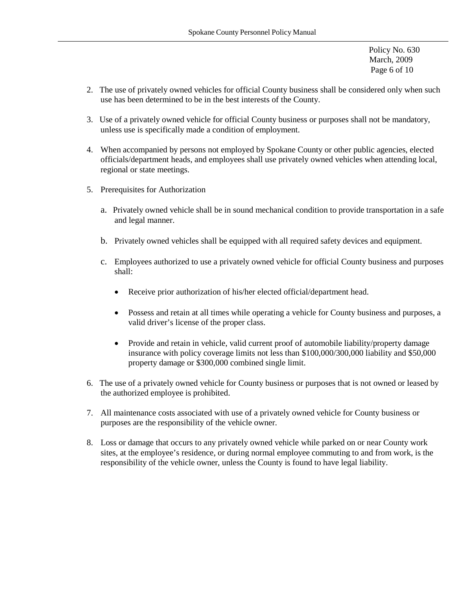Policy No. 630 March, 2009 Page 6 of 10

- 2. The use of privately owned vehicles for official County business shall be considered only when such use has been determined to be in the best interests of the County.
- 3. Use of a privately owned vehicle for official County business or purposes shall not be mandatory, unless use is specifically made a condition of employment.
- 4. When accompanied by persons not employed by Spokane County or other public agencies, elected officials/department heads, and employees shall use privately owned vehicles when attending local, regional or state meetings.
- 5. Prerequisites for Authorization
	- a. Privately owned vehicle shall be in sound mechanical condition to provide transportation in a safe and legal manner.
	- b. Privately owned vehicles shall be equipped with all required safety devices and equipment.
	- c. Employees authorized to use a privately owned vehicle for official County business and purposes shall:
		- Receive prior authorization of his/her elected official/department head.
		- Possess and retain at all times while operating a vehicle for County business and purposes, a valid driver's license of the proper class.
		- Provide and retain in vehicle, valid current proof of automobile liability/property damage insurance with policy coverage limits not less than \$100,000/300,000 liability and \$50,000 property damage or \$300,000 combined single limit.
- 6. The use of a privately owned vehicle for County business or purposes that is not owned or leased by the authorized employee is prohibited.
- 7. All maintenance costs associated with use of a privately owned vehicle for County business or purposes are the responsibility of the vehicle owner.
- 8. Loss or damage that occurs to any privately owned vehicle while parked on or near County work sites, at the employee's residence, or during normal employee commuting to and from work, is the responsibility of the vehicle owner, unless the County is found to have legal liability.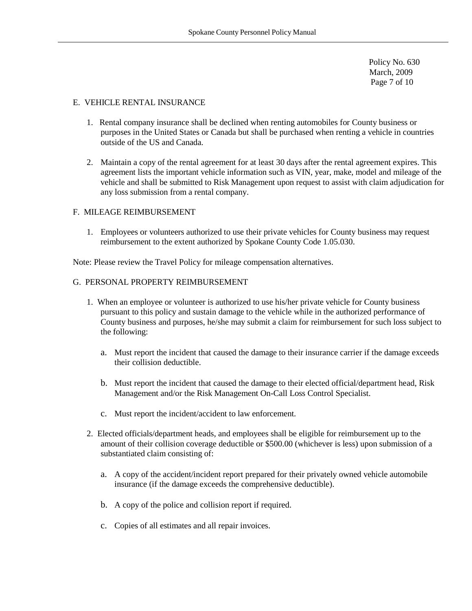Policy No. 630 March, 2009 Page 7 of 10

#### E. VEHICLE RENTAL INSURANCE

- 1. Rental company insurance shall be declined when renting automobiles for County business or purposes in the United States or Canada but shall be purchased when renting a vehicle in countries outside of the US and Canada.
- 2. Maintain a copy of the rental agreement for at least 30 days after the rental agreement expires. This agreement lists the important vehicle information such as VIN, year, make, model and mileage of the vehicle and shall be submitted to Risk Management upon request to assist with claim adjudication for any loss submission from a rental company.

#### F. MILEAGE REIMBURSEMENT

1. Employees or volunteers authorized to use their private vehicles for County business may request reimbursement to the extent authorized by Spokane County Code 1.05.030.

Note: Please review the Travel Policy for mileage compensation alternatives.

## G. PERSONAL PROPERTY REIMBURSEMENT

- 1. When an employee or volunteer is authorized to use his/her private vehicle for County business pursuant to this policy and sustain damage to the vehicle while in the authorized performance of County business and purposes, he/she may submit a claim for reimbursement for such loss subject to the following:
	- a. Must report the incident that caused the damage to their insurance carrier if the damage exceeds their collision deductible.
	- b. Must report the incident that caused the damage to their elected official/department head, Risk Management and/or the Risk Management On-Call Loss Control Specialist.
	- c. Must report the incident/accident to law enforcement.
- 2. Elected officials/department heads, and employees shall be eligible for reimbursement up to the amount of their collision coverage deductible or \$500.00 (whichever is less) upon submission of a substantiated claim consisting of:
	- a. A copy of the accident/incident report prepared for their privately owned vehicle automobile insurance (if the damage exceeds the comprehensive deductible).
	- b. A copy of the police and collision report if required.
	- c. Copies of all estimates and all repair invoices.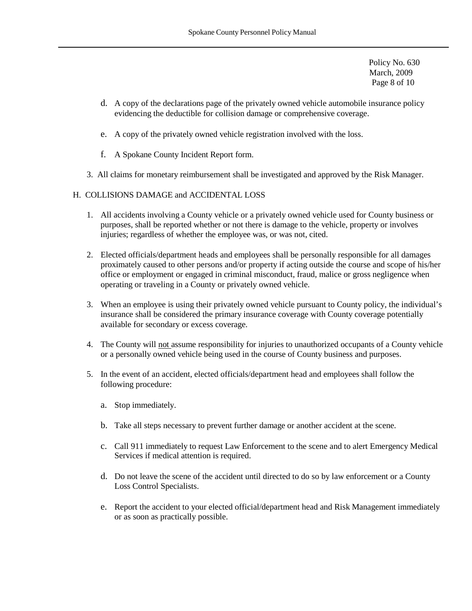Policy No. 630 March, 2009 Page 8 of 10

- d. A copy of the declarations page of the privately owned vehicle automobile insurance policy evidencing the deductible for collision damage or comprehensive coverage.
- e. A copy of the privately owned vehicle registration involved with the loss.
- f. A Spokane County Incident Report form.
- 3. All claims for monetary reimbursement shall be investigated and approved by the Risk Manager.

#### H. COLLISIONS DAMAGE and ACCIDENTAL LOSS

- 1. All accidents involving a County vehicle or a privately owned vehicle used for County business or purposes, shall be reported whether or not there is damage to the vehicle, property or involves injuries; regardless of whether the employee was, or was not, cited.
- 2. Elected officials/department heads and employees shall be personally responsible for all damages proximately caused to other persons and/or property if acting outside the course and scope of his/her office or employment or engaged in criminal misconduct, fraud, malice or gross negligence when operating or traveling in a County or privately owned vehicle.
- 3. When an employee is using their privately owned vehicle pursuant to County policy, the individual's insurance shall be considered the primary insurance coverage with County coverage potentially available for secondary or excess coverage.
- 4. The County will not assume responsibility for injuries to unauthorized occupants of a County vehicle or a personally owned vehicle being used in the course of County business and purposes.
- 5. In the event of an accident, elected officials/department head and employees shall follow the following procedure:
	- a. Stop immediately.
	- b. Take all steps necessary to prevent further damage or another accident at the scene.
	- c. Call 911 immediately to request Law Enforcement to the scene and to alert Emergency Medical Services if medical attention is required.
	- d. Do not leave the scene of the accident until directed to do so by law enforcement or a County Loss Control Specialists.
	- e. Report the accident to your elected official/department head and Risk Management immediately or as soon as practically possible.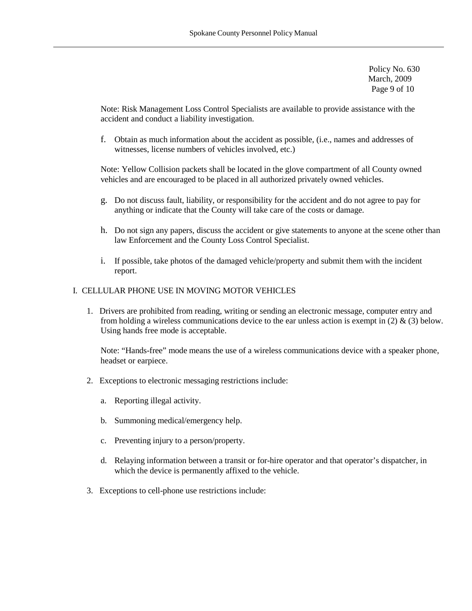Policy No. 630 March, 2009 Page 9 of 10

Note: Risk Management Loss Control Specialists are available to provide assistance with the accident and conduct a liability investigation.

f. Obtain as much information about the accident as possible, (i.e., names and addresses of witnesses, license numbers of vehicles involved, etc.)

Note: Yellow Collision packets shall be located in the glove compartment of all County owned vehicles and are encouraged to be placed in all authorized privately owned vehicles.

- g. Do not discuss fault, liability, or responsibility for the accident and do not agree to pay for anything or indicate that the County will take care of the costs or damage.
- h. Do not sign any papers, discuss the accident or give statements to anyone at the scene other than law Enforcement and the County Loss Control Specialist.
- i. If possible, take photos of the damaged vehicle/property and submit them with the incident report.

# I. CELLULAR PHONE USE IN MOVING MOTOR VEHICLES

1. Drivers are prohibited from reading, writing or sending an electronic message, computer entry and from holding a wireless communications device to the ear unless action is exempt in (2)  $\&$  (3) below. Using hands free mode is acceptable.

Note: "Hands-free" mode means the use of a wireless communications device with a speaker phone, headset or earpiece.

- 2. Exceptions to electronic messaging restrictions include:
	- a. Reporting illegal activity.
	- b. Summoning medical/emergency help.
	- c. Preventing injury to a person/property.
	- d. Relaying information between a transit or for-hire operator and that operator's dispatcher, in which the device is permanently affixed to the vehicle.
- 3. Exceptions to cell-phone use restrictions include: